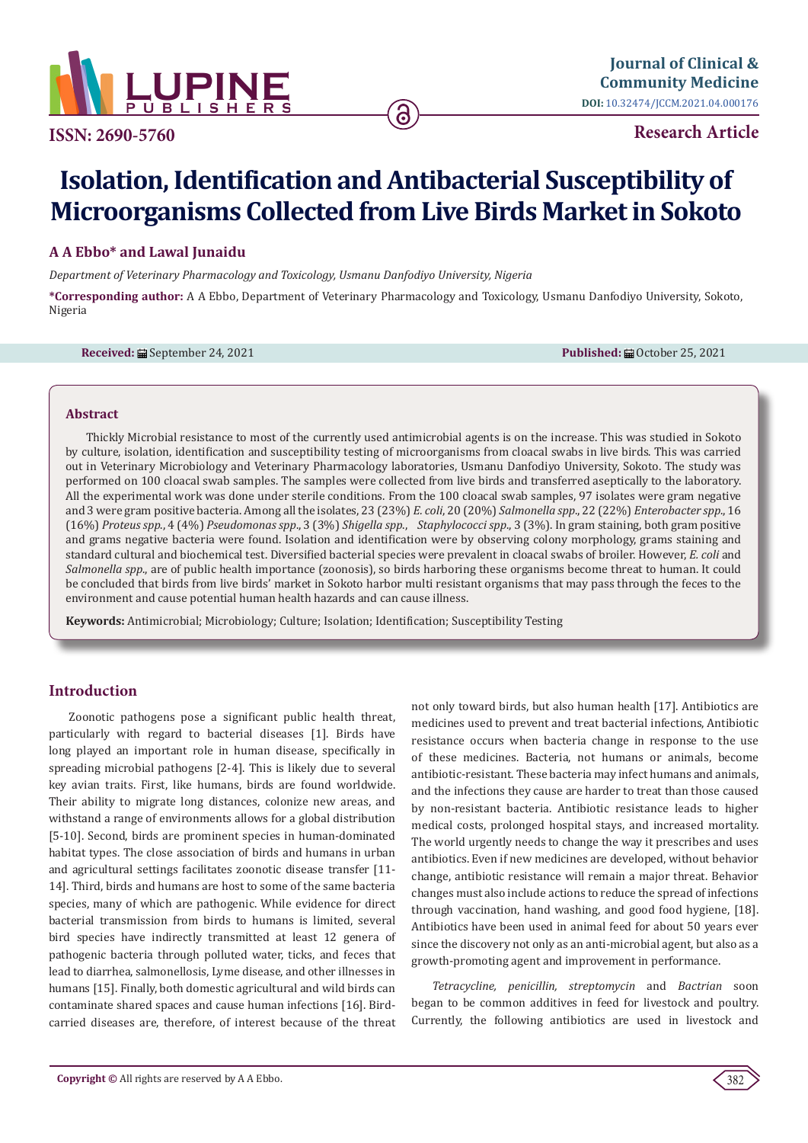

**Research Article**

# **Isolation, Identification and Antibacterial Susceptibility of Microorganisms Collected from Live Birds Market in Sokoto**

# **A A Ebbo\* and Lawal Junaidu**

*Department of Veterinary Pharmacology and Toxicology, Usmanu Danfodiyo University, Nigeria*

**\*Corresponding author:** A A Ebbo, Department of Veterinary Pharmacology and Toxicology, Usmanu Danfodiyo University, Sokoto, Nigeria

**Received: 的**September 24, 2021 **Published: September 24, 2021 Published: September 25, 2021** 

#### **Abstract**

Thickly Microbial resistance to most of the currently used antimicrobial agents is on the increase. This was studied in Sokoto by culture, isolation, identification and susceptibility testing of microorganisms from cloacal swabs in live birds. This was carried out in Veterinary Microbiology and Veterinary Pharmacology laboratories, Usmanu Danfodiyo University, Sokoto. The study was performed on 100 cloacal swab samples. The samples were collected from live birds and transferred aseptically to the laboratory. All the experimental work was done under sterile conditions. From the 100 cloacal swab samples, 97 isolates were gram negative and 3 were gram positive bacteria. Among all the isolates, 23 (23%) *E. coli*, 20 (20%) *Salmonella spp*., 22 (22%) *Enterobacter spp*., 16 (16%) *Proteus spp*., 4 (4%) *Pseudomonas spp*., 3 (3%) *Shigella spp*., *Staphylococci spp*., 3 (3%). In gram staining, both gram positive and grams negative bacteria were found. Isolation and identification were by observing colony morphology, grams staining and standard cultural and biochemical test. Diversified bacterial species were prevalent in cloacal swabs of broiler. However, *E. coli* and *Salmonella spp*., are of public health importance (zoonosis), so birds harboring these organisms become threat to human. It could be concluded that birds from live birds' market in Sokoto harbor multi resistant organisms that may pass through the feces to the environment and cause potential human health hazards and can cause illness.

**Keywords:** Antimicrobial; Microbiology; Culture; Isolation; Identification; Susceptibility Testing

# **Introduction**

Zoonotic pathogens pose a significant public health threat, particularly with regard to bacterial diseases [1]. Birds have long played an important role in human disease, specifically in spreading microbial pathogens [2-4]. This is likely due to several key avian traits. First, like humans, birds are found worldwide. Their ability to migrate long distances, colonize new areas, and withstand a range of environments allows for a global distribution [5-10]. Second, birds are prominent species in human-dominated habitat types. The close association of birds and humans in urban and agricultural settings facilitates zoonotic disease transfer [11- 14]. Third, birds and humans are host to some of the same bacteria species, many of which are pathogenic. While evidence for direct bacterial transmission from birds to humans is limited, several bird species have indirectly transmitted at least 12 genera of pathogenic bacteria through polluted water, ticks, and feces that lead to diarrhea, salmonellosis, Lyme disease, and other illnesses in humans [15]. Finally, both domestic agricultural and wild birds can contaminate shared spaces and cause human infections [16]. Birdcarried diseases are, therefore, of interest because of the threat

not only toward birds, but also human health [17]. Antibiotics are medicines used to prevent and treat bacterial infections, Antibiotic resistance occurs when bacteria change in response to the use of these medicines. Bacteria, not humans or animals, become antibiotic-resistant. These bacteria may infect humans and animals, and the infections they cause are harder to treat than those caused by non-resistant bacteria. Antibiotic resistance leads to higher medical costs, prolonged hospital stays, and increased mortality. The world urgently needs to change the way it prescribes and uses antibiotics. Even if new medicines are developed, without behavior change, antibiotic resistance will remain a major threat. Behavior changes must also include actions to reduce the spread of infections through vaccination, hand washing, and good food hygiene, [18]. Antibiotics have been used in animal feed for about 50 years ever since the discovery not only as an anti-microbial agent, but also as a growth-promoting agent and improvement in performance.

*Tetracycline, penicillin, streptomycin* and *Bactrian* soon began to be common additives in feed for livestock and poultry. Currently, the following antibiotics are used in livestock and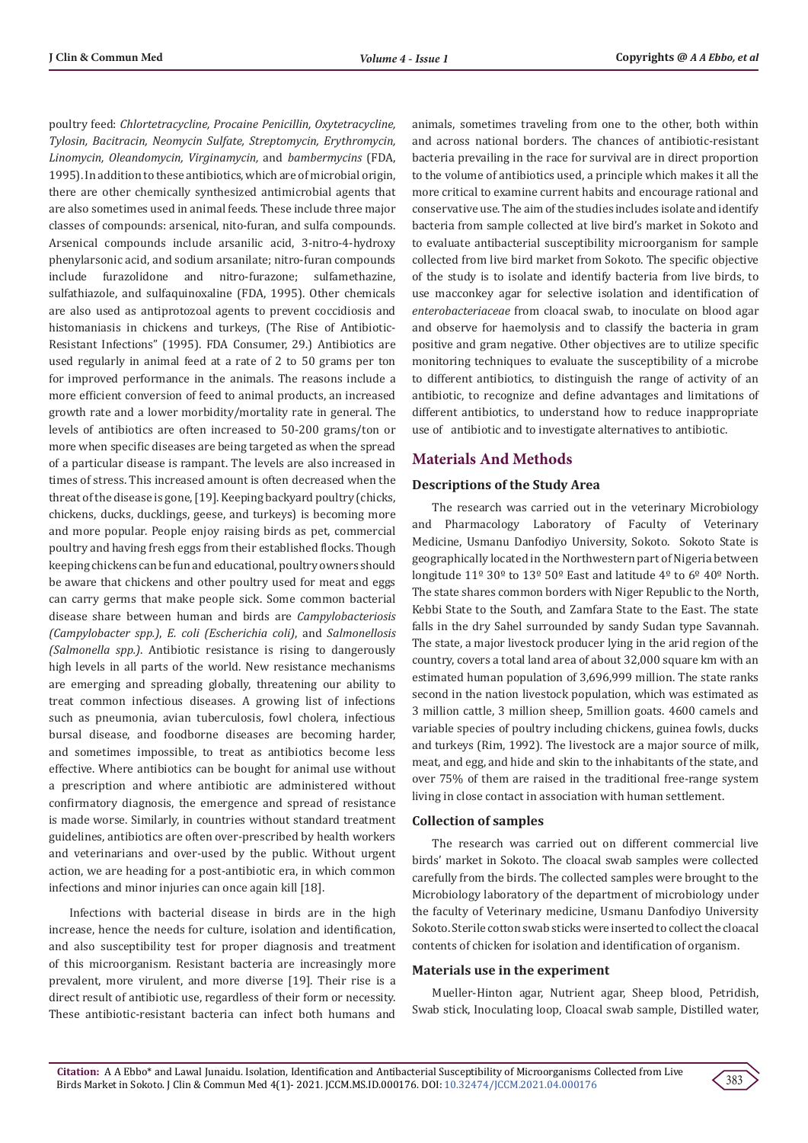poultry feed: *Chlortetracycline, Procaine Penicillin, Oxytetracycline, Tylosin, Bacitracin, Neomycin Sulfate, Streptomycin, Erythromycin, Linomycin, Oleandomycin, Virginamycin,* and *bambermycins* (FDA, 1995). In addition to these antibiotics, which are of microbial origin, there are other chemically synthesized antimicrobial agents that are also sometimes used in animal feeds. These include three major classes of compounds: arsenical, nito-furan, and sulfa compounds. Arsenical compounds include arsanilic acid, 3-nitro-4-hydroxy phenylarsonic acid, and sodium arsanilate; nitro-furan compounds include furazolidone and nitro-furazone; sulfamethazine, sulfathiazole, and sulfaquinoxaline (FDA, 1995). Other chemicals are also used as antiprotozoal agents to prevent coccidiosis and histomaniasis in chickens and turkeys, (The Rise of Antibiotic-Resistant Infections" (1995). FDA Consumer, 29.) Antibiotics are used regularly in animal feed at a rate of 2 to 50 grams per ton for improved performance in the animals. The reasons include a more efficient conversion of feed to animal products, an increased growth rate and a lower morbidity/mortality rate in general. The levels of antibiotics are often increased to 50-200 grams/ton or more when specific diseases are being targeted as when the spread of a particular disease is rampant. The levels are also increased in times of stress. This increased amount is often decreased when the threat of the disease is gone, [19]. Keeping backyard poultry (chicks, chickens, ducks, ducklings, geese, and turkeys) is becoming more and more popular. People enjoy raising birds as pet, commercial poultry and having fresh eggs from their established flocks. Though keeping chickens can be fun and educational, poultry owners should be aware that chickens and other poultry used for meat and eggs can carry germs that make people sick. Some common bacterial disease share between human and birds are *Campylobacteriosis (Campylobacter spp.)*, *E. coli (Escherichia coli)*, and *Salmonellosis (Salmonella spp.)*. Antibiotic resistance is rising to dangerously high levels in all parts of the world. New resistance mechanisms are emerging and spreading globally, threatening our ability to treat common infectious diseases. A growing list of infections such as pneumonia, avian tuberculosis, fowl cholera, infectious bursal disease, and foodborne diseases are becoming harder, and sometimes impossible, to treat as antibiotics become less effective. Where antibiotics can be bought for animal use without a prescription and where antibiotic are administered without confirmatory diagnosis, the emergence and spread of resistance is made worse. Similarly, in countries without standard treatment guidelines, antibiotics are often over-prescribed by health workers and veterinarians and over-used by the public. Without urgent action, we are heading for a post-antibiotic era, in which common infections and minor injuries can once again kill [18].

Infections with bacterial disease in birds are in the high increase, hence the needs for culture, isolation and identification, and also susceptibility test for proper diagnosis and treatment of this microorganism. Resistant bacteria are increasingly more prevalent, more virulent, and more diverse [19]. Their rise is a direct result of antibiotic use, regardless of their form or necessity. These antibiotic-resistant bacteria can infect both humans and animals, sometimes traveling from one to the other, both within and across national borders. The chances of antibiotic-resistant bacteria prevailing in the race for survival are in direct proportion to the volume of antibiotics used, a principle which makes it all the more critical to examine current habits and encourage rational and conservative use. The aim of the studies includes isolate and identify bacteria from sample collected at live bird's market in Sokoto and to evaluate antibacterial susceptibility microorganism for sample collected from live bird market from Sokoto. The specific objective of the study is to isolate and identify bacteria from live birds, to use macconkey agar for selective isolation and identification of *enterobacteriaceae* from cloacal swab, to inoculate on blood agar and observe for haemolysis and to classify the bacteria in gram positive and gram negative. Other objectives are to utilize specific monitoring techniques to evaluate the susceptibility of a microbe to different antibiotics, to distinguish the range of activity of an antibiotic, to recognize and define advantages and limitations of different antibiotics, to understand how to reduce inappropriate use of antibiotic and to investigate alternatives to antibiotic.

# **Materials And Methods**

#### **Descriptions of the Study Area**

The research was carried out in the veterinary Microbiology and Pharmacology Laboratory of Faculty of Veterinary Medicine, Usmanu Danfodiyo University, Sokoto. Sokoto State is geographically located in the Northwestern part of Nigeria between longitude 11º 30º to 13º 50º East and latitude 4º to 6º 40º North. The state shares common borders with Niger Republic to the North, Kebbi State to the South, and Zamfara State to the East. The state falls in the dry Sahel surrounded by sandy Sudan type Savannah. The state, a major livestock producer lying in the arid region of the country, covers a total land area of about 32,000 square km with an estimated human population of 3,696,999 million. The state ranks second in the nation livestock population, which was estimated as 3 million cattle, 3 million sheep, 5million goats. 4600 camels and variable species of poultry including chickens, guinea fowls, ducks and turkeys (Rim, 1992). The livestock are a major source of milk, meat, and egg, and hide and skin to the inhabitants of the state, and over 75% of them are raised in the traditional free-range system living in close contact in association with human settlement.

#### **Collection of samples**

The research was carried out on different commercial live birds' market in Sokoto. The cloacal swab samples were collected carefully from the birds. The collected samples were brought to the Microbiology laboratory of the department of microbiology under the faculty of Veterinary medicine, Usmanu Danfodiyo University Sokoto. Sterile cotton swab sticks were inserted to collect the cloacal contents of chicken for isolation and identification of organism.

#### **Materials use in the experiment**

Mueller-Hinton agar, Nutrient agar, Sheep blood, Petridish, Swab stick, Inoculating loop, Cloacal swab sample, Distilled water,

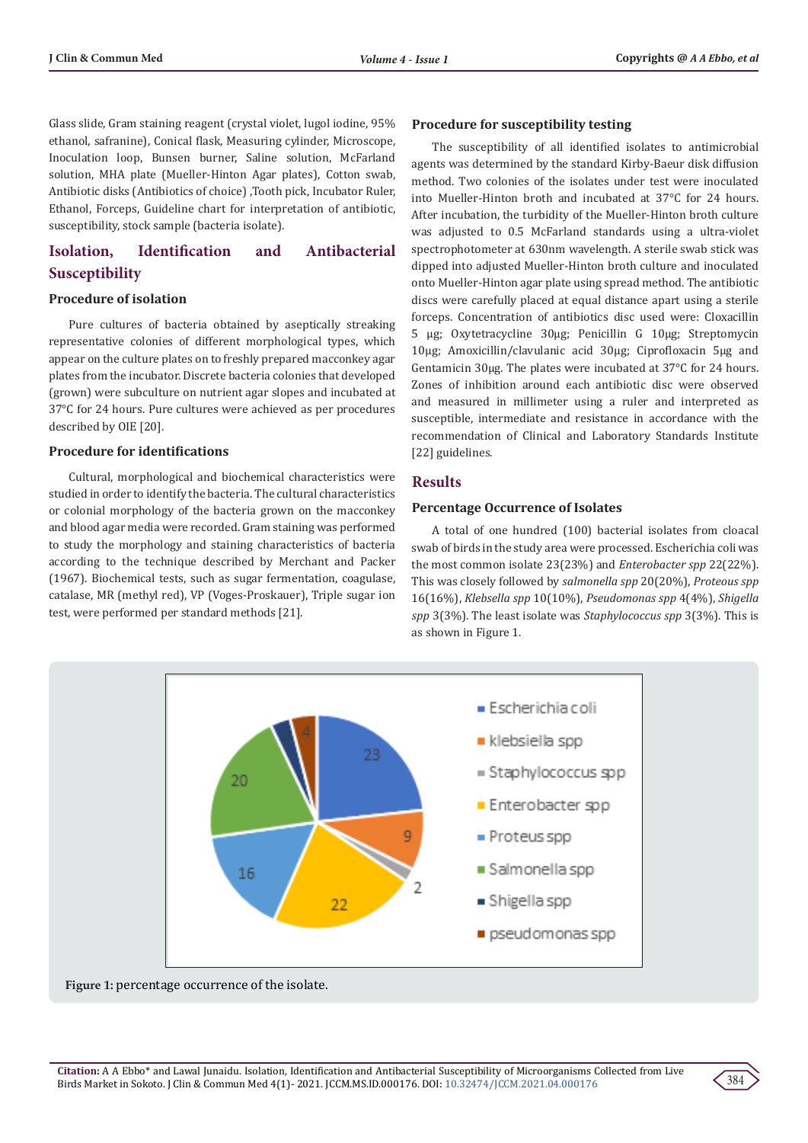Glass slide, Gram staining reagent (crystal violet, lugol iodine, 95% ethanol, safranine), Conical flask, Measuring cylinder, Microscope, Inoculation loop, Bunsen burner, Saline solution, McFarland solution, MHA plate (Mueller-Hinton Agar plates), Cotton swab, Antibiotic disks (Antibiotics of choice) ,Tooth pick, Incubator Ruler, Ethanol, Forceps, Guideline chart for interpretation of antibiotic, susceptibility, stock sample (bacteria isolate).

# **Isolation, Identification and Antibacterial Susceptibility**

#### **Procedure of isolation**

Pure cultures of bacteria obtained by aseptically streaking representative colonies of different morphological types, which appear on the culture plates on to freshly prepared macconkey agar plates from the incubator. Discrete bacteria colonies that developed (grown) were subculture on nutrient agar slopes and incubated at 37°C for 24 hours. Pure cultures were achieved as per procedures described by OIE [20].

#### **Procedure for identifications**

Cultural, morphological and biochemical characteristics were studied in order to identify the bacteria. The cultural characteristics or colonial morphology of the bacteria grown on the macconkey and blood agar media were recorded. Gram staining was performed to study the morphology and staining characteristics of bacteria according to the technique described by Merchant and Packer (1967). Biochemical tests, such as sugar fermentation, coagulase, catalase, MR (methyl red), VP (Voges-Proskauer), Triple sugar ion test, were performed per standard methods [21].

#### **Procedure for susceptibility testing**

The susceptibility of all identified isolates to antimicrobial agents was determined by the standard Kirby-Baeur disk diffusion method. Two colonies of the isolates under test were inoculated into Mueller-Hinton broth and incubated at 37°C for 24 hours. After incubation, the turbidity of the Mueller-Hinton broth culture was adjusted to 0.5 McFarland standards using a ultra-violet spectrophotometer at 630nm wavelength. A sterile swab stick was dipped into adjusted Mueller-Hinton broth culture and inoculated onto Mueller-Hinton agar plate using spread method. The antibiotic discs were carefully placed at equal distance apart using a sterile forceps. Concentration of antibiotics disc used were: Cloxacillin 5 µg; Oxytetracycline 30µg; Penicillin G 10µg; Streptomycin 10µg; Amoxicillin/clavulanic acid 30µg; Ciprofloxacin 5µg and Gentamicin 30µg. The plates were incubated at 37°C for 24 hours. Zones of inhibition around each antibiotic disc were observed and measured in millimeter using a ruler and interpreted as susceptible, intermediate and resistance in accordance with the recommendation of Clinical and Laboratory Standards Institute [22] guidelines.

#### **Results**

#### **Percentage Occurrence of Isolates**

A total of one hundred (100) bacterial isolates from cloacal swab of birds in the study area were processed. Escherichia coli was the most common isolate 23(23%) and *Enterobacter spp* 22(22%). This was closely followed by *salmonella spp* 20(20%), *Proteous spp* 16(16%), *Klebsella spp* 10(10%), *Pseudomonas spp* 4(4%), *Shigella spp* 3(3%). The least isolate was *Staphylococcus spp* 3(3%). This is as shown in Figure 1.



**Figure 1:** percentage occurrence of the isolate.

384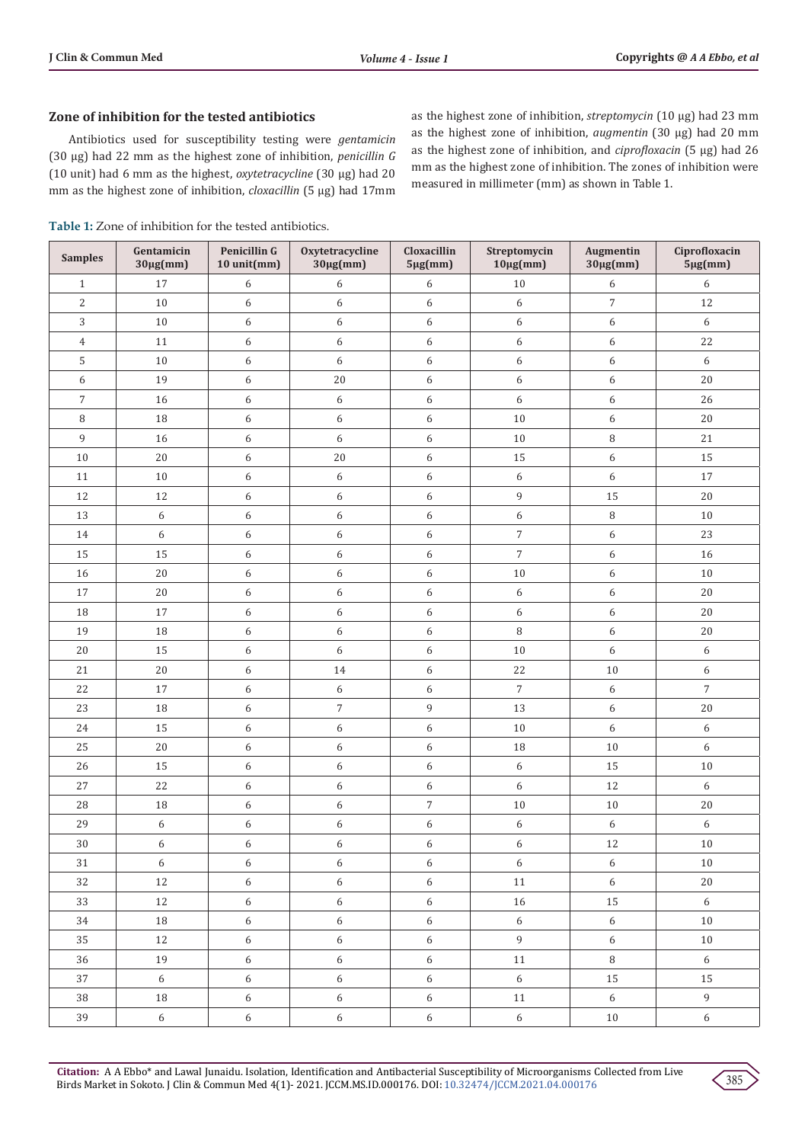# **Zone of inhibition for the tested antibiotics**

Antibiotics used for susceptibility testing were *gentamicin* (30 µg) had 22 mm as the highest zone of inhibition, *penicillin G* (10 unit) had 6 mm as the highest, *oxytetracycline* (30 µg) had 20 mm as the highest zone of inhibition, *cloxacillin* (5 µg) had 17mm

**Table 1:** Zone of inhibition for the tested antibiotics.

as the highest zone of inhibition, *streptomycin* (10 µg) had 23 mm as the highest zone of inhibition, *augmentin* (30 µg) had 20 mm as the highest zone of inhibition, and *ciprofloxacin* (5 µg) had 26 mm as the highest zone of inhibition. The zones of inhibition were measured in millimeter (mm) as shown in Table 1.

| <b>Samples</b> | Gentamicin<br>$30\mu g$ (mm) | Penicillin G<br>10 unit(mm) | Oxytetracycline<br>$30\mu g$ (mm) | Cloxacillin<br>$5\mu g$ (mm) | Streptomycin<br>$10\mu\text{g}(mm)$ | <b>Augmentin</b><br>$30\mu g$ (mm) | Ciprofloxacin<br>$5\mu g(mm)$     |
|----------------|------------------------------|-----------------------------|-----------------------------------|------------------------------|-------------------------------------|------------------------------------|-----------------------------------|
| $\mathbf{1}$   | 17                           | 6                           | 6                                 | $\boldsymbol{6}$             | $10\,$                              | 6                                  | $\boldsymbol{6}$                  |
| $\mathbf{2}$   | $10\,$                       | 6                           | $\boldsymbol{6}$                  | $\boldsymbol{6}$             | $\boldsymbol{6}$                    | $\boldsymbol{7}$                   | 12                                |
| 3              | $10\,$                       | 6                           | $\boldsymbol{6}$                  | $\boldsymbol{6}$             | $\boldsymbol{6}$                    | 6                                  | $6\,$                             |
| $\overline{4}$ | 11                           | 6                           | $\boldsymbol{6}$                  | $\boldsymbol{6}$             | $\boldsymbol{6}$                    | 6                                  | 22                                |
| 5              | $10\,$                       | 6                           | $\boldsymbol{6}$                  | $\boldsymbol{6}$             | $\boldsymbol{6}$                    | 6                                  | $6\,$                             |
| 6              | 19                           | 6                           | $20\,$                            | $\boldsymbol{6}$             | $\boldsymbol{6}$                    | 6                                  | 20                                |
| $\overline{7}$ | 16                           | 6                           | $\boldsymbol{6}$                  | $\boldsymbol{6}$             | $\boldsymbol{6}$                    | 6                                  | 26                                |
| 8              | $18\,$                       | 6                           | $\boldsymbol{6}$                  | $\boldsymbol{6}$             | $10\,$                              | 6                                  | 20                                |
| 9              | 16                           | 6                           | $\boldsymbol{6}$                  | $\boldsymbol{6}$             | $10\,$                              | 8                                  | 21                                |
| $10$           | $20\,$                       | 6                           | $20\,$                            | $\boldsymbol{6}$             | 15                                  | 6                                  | 15                                |
| $11\,$         | $10\,$                       | 6                           | $\boldsymbol{6}$                  | $\boldsymbol{6}$             | $\boldsymbol{6}$                    | 6                                  | $17\,$                            |
| 12             | 12                           | 6                           | $\boldsymbol{6}$                  | $\boldsymbol{6}$             | $\,9$                               | 15                                 | 20                                |
| 13             | 6                            | 6                           | 6                                 | $\boldsymbol{6}$             | $\boldsymbol{6}$                    | 8                                  | $10\,$                            |
| 14             | $\boldsymbol{6}$             | 6                           | $\boldsymbol{6}$                  | $\boldsymbol{6}$             | $\sqrt{ }$                          | 6                                  | 23                                |
| 15             | 15                           | 6                           | $\boldsymbol{6}$                  | 6                            | $\boldsymbol{7}$                    | 6                                  | 16                                |
| 16             | $20\,$                       | 6                           | 6                                 | $\boldsymbol{6}$             | $10\,$                              | 6                                  | 10                                |
| 17             | $20\,$                       | 6                           | $\boldsymbol{6}$                  | $\boldsymbol{6}$             | 6                                   | 6                                  | 20                                |
| 18             | 17                           | 6                           | $\boldsymbol{6}$                  | $\boldsymbol{6}$             | $\boldsymbol{6}$                    | 6                                  | $20\,$                            |
| 19             | 18                           | 6                           | $\boldsymbol{6}$                  | $\boldsymbol{6}$             | $\, 8$                              | 6                                  | $20\,$                            |
| $20\,$         | 15                           | 6                           | $\boldsymbol{6}$                  | $\boldsymbol{6}$             | 10                                  | 6                                  | $6\,$                             |
| 21             | $20\,$                       | 6                           | 14                                | $\boldsymbol{6}$             | 22                                  | $10\,$                             | 6                                 |
| 22             | 17                           | 6                           | $\boldsymbol{6}$                  | $\boldsymbol{6}$             | $\sqrt{ }$                          | 6                                  | $\overline{7}$                    |
| 23             | $18\,$                       | 6                           | $\boldsymbol{7}$                  | 9                            | 13                                  | 6                                  | $20\,$                            |
| 24             | 15                           | 6                           | $\boldsymbol{6}$                  | $\boldsymbol{6}$             | $10\,$                              | 6                                  | 6                                 |
| 25             | $20\,$                       | 6                           | $\boldsymbol{6}$                  | 6                            | $18\,$                              | $10\,$                             | 6                                 |
| 26             | 15                           | 6                           | $\boldsymbol{6}$                  | $\boldsymbol{6}$             | 6                                   | 15                                 | 10                                |
| $27\,$         | 22                           | 6                           | $\boldsymbol{6}$                  | $\boldsymbol{6}$             | $\boldsymbol{6}$                    | 12                                 | $6\,$                             |
| 28             | 18                           | 6                           | $\boldsymbol{6}$                  | $\sqrt{ }$                   | $10\,$                              | 10                                 | 20                                |
| 29             | 6                            | 6                           | 6                                 | 6                            | 6                                   | 6                                  | 6                                 |
| 30             | $\boldsymbol{6}$             | 6                           | 6                                 | $\boldsymbol{6}$             | $\boldsymbol{6}$                    | 12                                 | $10\,$                            |
| 31             | 6                            | 6                           | 6                                 | 6                            | $6\,$                               | 6                                  | 10                                |
| 32             | 12                           | $6\,$                       | $\boldsymbol{6}$                  | $\sqrt{6}$                   | 11                                  | 6                                  | 20                                |
| 33             | $12\,$                       | $6\,$                       | $\boldsymbol{6}$                  | $\sqrt{6}$                   | 16                                  | 15                                 | $6\,$                             |
| 34             | 18                           | $\sqrt{6}$                  | $\boldsymbol{6}$                  | $\sqrt{6}$                   | 6                                   | $6\,$                              | 10                                |
| 35             | 12                           | $6\,$                       | $\boldsymbol{6}$                  | $6\,$                        | $\overline{9}$                      | $6\,$                              | 10                                |
| 36             | 19                           | $6\,$                       | 6                                 | $6\,$                        | 11                                  | $\, 8$                             | 6                                 |
| 37             | 6                            | $\sqrt{6}$                  | $\boldsymbol{6}$                  | $\sqrt{6}$                   | 6                                   | 15                                 | 15                                |
| 38             | $18\,$                       | $\sqrt{6}$                  | $\boldsymbol{6}$                  | $6\,$                        | 11                                  | $6\,$                              | $\mathsf{g}% _{T}=\mathsf{g}_{T}$ |
| 39             | 6                            | $6\,$                       | $6\,$                             | 6                            | 6                                   | 10                                 | $6\,$                             |

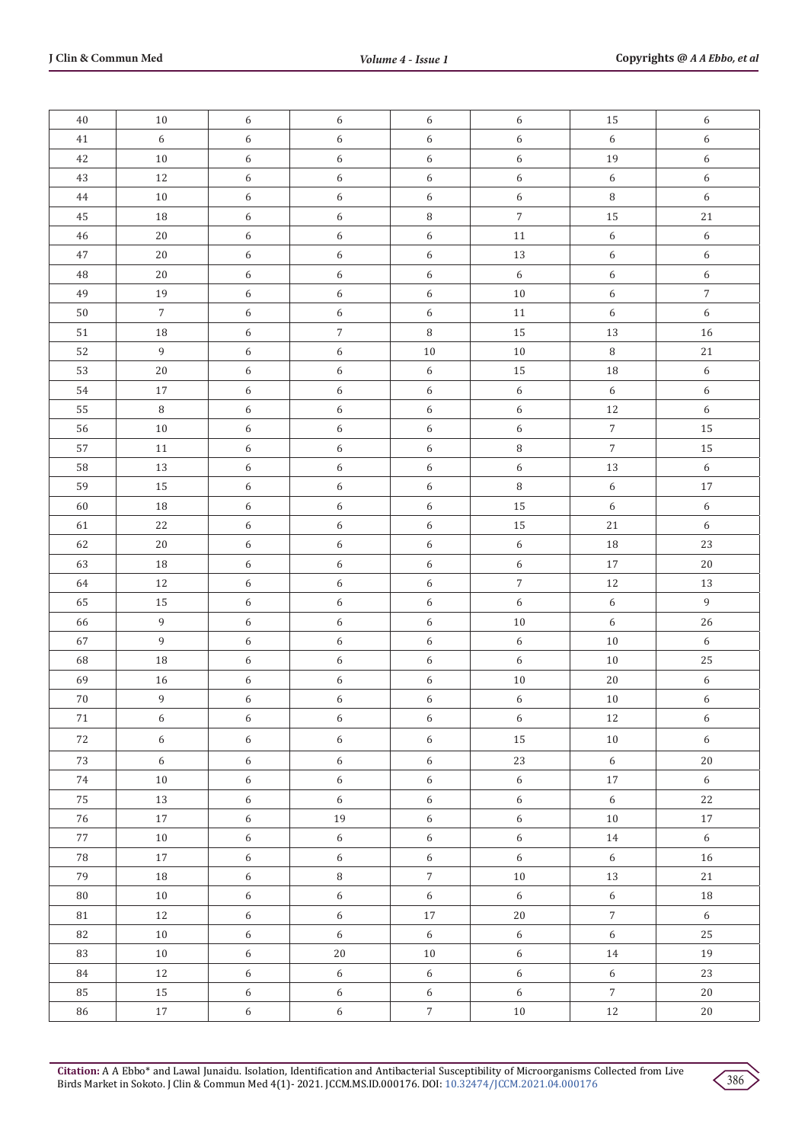| $40\,$      | 10             | 6          | 6                | 6                | 6                | 15               | 6                |
|-------------|----------------|------------|------------------|------------------|------------------|------------------|------------------|
| $41\,$      | $\sqrt{6}$     | 6          | $\boldsymbol{6}$ | $\boldsymbol{6}$ | $6\,$            | $\boldsymbol{6}$ | $\boldsymbol{6}$ |
| $42\,$      | $10\,$         | 6          | $\boldsymbol{6}$ | $\boldsymbol{6}$ | $\boldsymbol{6}$ | $19\,$           | $\boldsymbol{6}$ |
| 43          | $12\,$         | 6          | 6                | 6                | $\boldsymbol{6}$ | $\boldsymbol{6}$ | $\boldsymbol{6}$ |
| $\bf 44$    | $10\,$         | 6          | $\boldsymbol{6}$ | $\boldsymbol{6}$ | $6\,$            | $\, 8$           | $\boldsymbol{6}$ |
| $45\,$      | $18\,$         | 6          | 6                | $\, 8$           | $\sqrt{7}$       | 15               | $2\sqrt{1}$      |
| $\sqrt{46}$ | $20\,$         | 6          | $\boldsymbol{6}$ | $\epsilon$       | $11\,$           | $\boldsymbol{6}$ | $\boldsymbol{6}$ |
| $47\,$      | $20\,$         | 6          | $\epsilon$       | $\boldsymbol{6}$ | $13\,$           | $\boldsymbol{6}$ | 6                |
| 48          | $20\,$         | 6          | 6                | $\boldsymbol{6}$ | $\boldsymbol{6}$ | $\boldsymbol{6}$ | 6                |
| 49          | $19\,$         | 6          | $\epsilon$       | $\epsilon$       | $10\,$           | $\boldsymbol{6}$ | $\overline{7}$   |
| $50\,$      | $\overline{7}$ | 6          | 6                | $\boldsymbol{6}$ | $11\,$           | $\boldsymbol{6}$ | $\boldsymbol{6}$ |
| $51\,$      | $18\,$         | 6          | $\sqrt{7}$       | $\, 8$           | 15               | 13               | 16               |
| 52          | $\overline{9}$ | 6          | $\epsilon$       | $10\,$           | $10\,$           | $\, 8$           | $2\sqrt{1}$      |
| 53          | $20\,$         | 6          | $\boldsymbol{6}$ | $\epsilon$       | 15               | $18\,$           | 6                |
| 54          | $17\,$         | 6          | 6                | $\epsilon$       | $\boldsymbol{6}$ | $\boldsymbol{6}$ | $\boldsymbol{6}$ |
| 55          | $\, 8$         | 6          | 6                | $\boldsymbol{6}$ | $6\,$            | $12\,$           | 6                |
| 56          | $10\,$         | 6          | 6                | $\boldsymbol{6}$ | 6                | $\sqrt{7}$       | 15               |
| 57          | $11\,$         | 6          | $\epsilon$       | $\boldsymbol{6}$ | $\, 8$           | $\overline{7}$   | 15               |
| 58          | $13\,$         | 6          | $\boldsymbol{6}$ | $\boldsymbol{6}$ | $\boldsymbol{6}$ | $13\,$           | 6                |
| 59          | 15             | 6          | 6                | 6                | $\, 8$           | $\sqrt{6}$       | $17\,$           |
| 60          | $18\,$         | 6          | 6                | $\boldsymbol{6}$ | 15               | $\boldsymbol{6}$ | 6                |
| 61          | $22\,$         | 6          | $\boldsymbol{6}$ | $\boldsymbol{6}$ | 15               | $21\,$           | $\boldsymbol{6}$ |
| 62          | $20\,$         | 6          | $\boldsymbol{6}$ | $\boldsymbol{6}$ | $\sqrt{6}$       | $18\,$           | 23               |
| 63          | $18\,$         | 6          | $\boldsymbol{6}$ | 6                | $6\,$            | $17\,$           | $20\,$           |
| 64          | $12\,$         | 6          | 6                | $\boldsymbol{6}$ | $\sqrt{7}$       | $12\,$           | $13\,$           |
| 65          | $15\,$         | 6          | $\epsilon$       | $\boldsymbol{6}$ | $\boldsymbol{6}$ | $\boldsymbol{6}$ | 9                |
| 66          | $\,9$          | 6          | 6                | $\boldsymbol{6}$ | $10\,$           | $6\,$            | 26               |
| 67          | $\overline{9}$ | 6          | 6                | 6                | $\boldsymbol{6}$ | $10\,$           | 6                |
| 68          | 18             | 6          | $\boldsymbol{6}$ | $\boldsymbol{6}$ | $\boldsymbol{6}$ | $10\,$           | 25               |
| 69          | $16\,$         | 6          | $\boldsymbol{6}$ | $\boldsymbol{6}$ | $10\,$           | $20\,$           | 6                |
| $70\,$      | $\mathsf{9}$   | 6          | $\boldsymbol{6}$ | $\epsilon$       | $\boldsymbol{6}$ | $10\,$           | $\boldsymbol{6}$ |
| 71          | 6              | 6          | 6                | 6                | 6                | 12               | 6                |
| 72          | $6\,$          | $\sqrt{6}$ | $\sqrt{6}$       | $\boldsymbol{6}$ | $15\,$           | $10\,$           | $\sqrt{6}$       |
| 73          | 6              | $6\,$      | $\sqrt{6}$       | $\boldsymbol{6}$ | 23               | 6                | $20\,$           |
| 74          | 10             | $6\,$      | $6\,$            | $\sqrt{6}$       | 6                | 17               | $6\,$            |
| 75          | 13             | $\sqrt{6}$ | $\sqrt{6}$       | $\sqrt{6}$       | 6                | $\boldsymbol{6}$ | 22               |
| $76\,$      | $17\,$         | $\sqrt{6}$ | 19               | $\boldsymbol{6}$ | $6\,$            | 10               | 17               |
| $77\,$      | $10\,$         | 6          | $\sqrt{6}$       | $\sqrt{6}$       | $6\,$            | $14\,$           | $\sqrt{6}$       |
| ${\bf 78}$  | 17             | $6\,$      | 6                | $\sqrt{6}$       | 6                | 6                | $16\,$           |
| 79          | 18             | 6          | $\, 8$           | $7\overline{ }$  | $10\,$           | 13               | $21\,$           |
| ${\bf 80}$  | $10\,$         | $\sqrt{6}$ | $\sqrt{6}$       | $\,$ 6 $\,$      | 6                | $\sqrt{6}$       | 18               |
| $\rm 81$    | $12\,$         | $\sqrt{6}$ | $\boldsymbol{6}$ | $17\,$           | $20\,$           | $\sqrt{7}$       | $6\,$            |
| 82          | $10\,$         | 6          | $6\,$            | $\sqrt{6}$       | 6                | $\sqrt{6}$       | 25               |
| 83          | $10\,$         | $\sqrt{6}$ | $20\,$           | $10\,$           | 6                | $14\,$           | 19               |
| 84          | 12             | $\sqrt{6}$ | $\sqrt{6}$       | 6                | $6\,$            | $\sqrt{6}$       | 23               |
| 85          | 15             | $\sqrt{6}$ | $6\,$            | $\boldsymbol{6}$ | $\sqrt{6}$       | $\sqrt{7}$       | $20\,$           |
| 86          | 17             | $\sqrt{6}$ | $6\,$            | $7\overline{ }$  | $10\,$           | $12\,$           | $20\,$           |

**Citation:** A A Ebbo\* and Lawal Junaidu. Isolation, Identification and Antibacterial Susceptibility of Microorganisms Collected from Live Birds Market in Sokoto. J Clin & Commun Med 4(1)- 2021. JCCM.MS.ID.000176. DOI: [10.32474/JCCM.2021.04.00017](http://dx.doi.org/10.32474/JCCM.2021.04.000176)6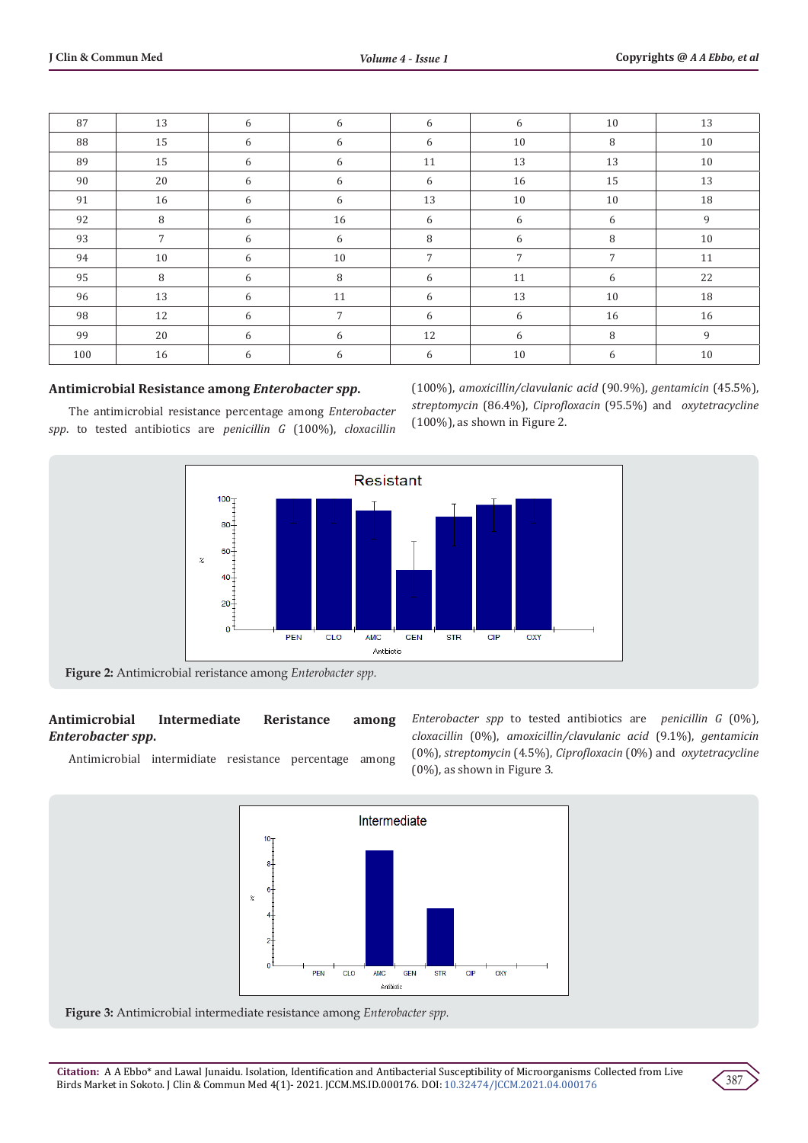| 87  | 13              | 6 | 6              | 6  | 6  | 10 | 13 |
|-----|-----------------|---|----------------|----|----|----|----|
| 88  | 15              | 6 | 6              | 6  | 10 | 8  | 10 |
| 89  | 15              | 6 | 6              | 11 | 13 | 13 | 10 |
| 90  | 20              | 6 | 6              | 6  | 16 | 15 | 13 |
| 91  | 16              | 6 | 6              | 13 | 10 | 10 | 18 |
| 92  | 8               | 6 | 16             | 6  | 6  | 6  | 9  |
| 93  | $7\overline{ }$ | 6 | 6              | 8  | 6  | 8  | 10 |
| 94  | 10              | 6 | 10             | 7  | 7  | 7  | 11 |
| 95  | 8               | 6 | 8              | 6  | 11 | 6  | 22 |
| 96  | 13              | 6 | 11             | 6  | 13 | 10 | 18 |
| 98  | 12              | 6 | $\overline{7}$ | 6  | 6  | 16 | 16 |
| 99  | 20              | 6 | 6              | 12 | 6  | 8  | 9  |
| 100 | 16              | 6 | 6              | 6  | 10 | 6  | 10 |

#### **Antimicrobial Resistance among** *Enterobacter spp***.**

The antimicrobial resistance percentage among *Enterobacter spp*. to tested antibiotics are *penicillin G* (100%), *cloxacillin*

(100%), *amoxicillin/clavulanic acid* (90.9%), *gentamicin* (45.5%), *streptomycin* (86.4%), *Ciprofloxacin* (95.5%) and *oxytetracycline* (100%), as shown in Figure 2.



**Figure 2:** Antimicrobial reristance among *Enterobacter spp.*

# **Antimicrobial Intermediate Reristance among**  *Enterobacter spp***.**

Antimicrobial intermidiate resistance percentage among

*Enterobacter spp* to tested antibiotics are *penicillin G* (0%), *cloxacillin* (0%), *amoxicillin/clavulanic acid* (9.1%), *gentamicin* (0%), *streptomycin* (4.5%), *Ciprofloxacin* (0%) and *oxytetracycline* (0%), as shown in Figure 3.





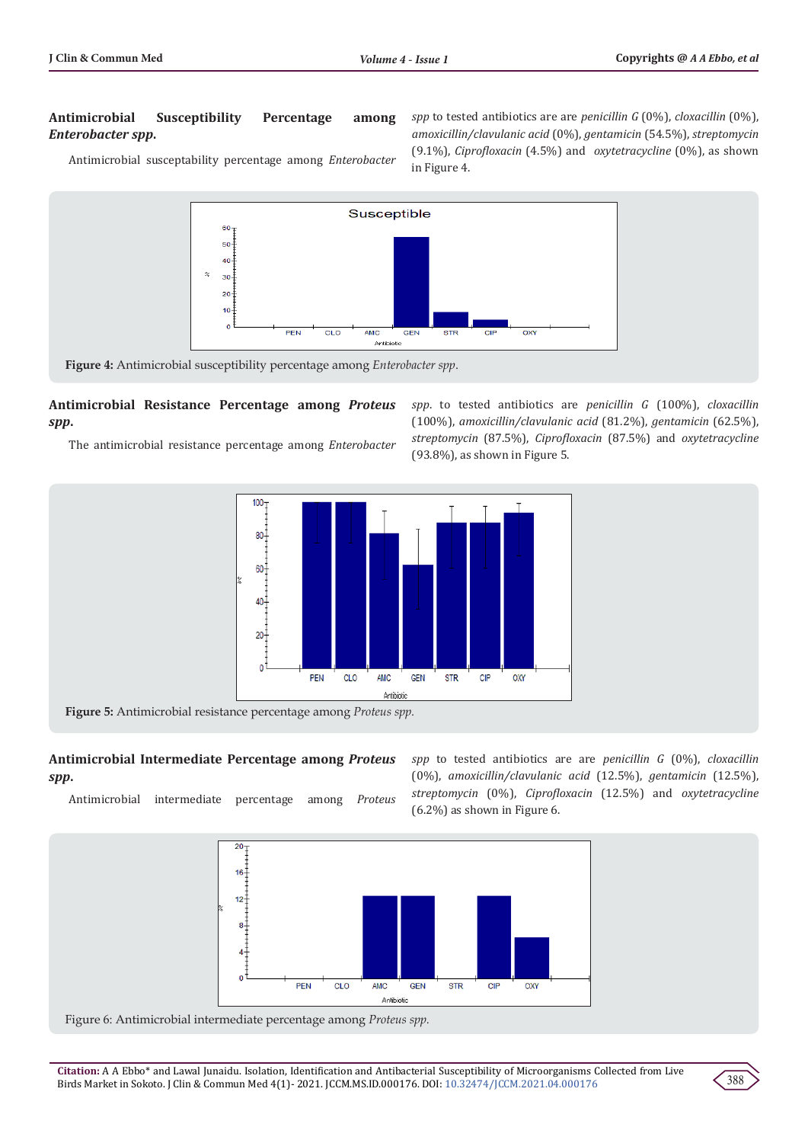#### **Antimicrobial Susceptibility Percentage among**  *Enterobacter spp***.**

Antimicrobial susceptability percentage among *Enterobacter* 

*spp* to tested antibiotics are are *penicillin G* (0%), *cloxacillin* (0%), *amoxicillin/clavulanic acid* (0%), *gentamicin* (54.5%), *streptomycin* (9.1%), *Ciprofloxacin* (4.5%) and *oxytetracycline* (0%), as shown in Figure 4.



CLO

**Figure 4:** Antimicrobial susceptibility percentage among *Enterobacter spp*.

PEN

#### **Antimicrobial Resistance Percentage among** *Proteus spp***.**

The antimicrobial resistance percentage among *Enterobacter* 

*spp*. to tested antibiotics are *penicillin G* (100%), *cloxacillin* (100%), *amoxicillin/clavulanic acid* (81.2%), *gentamicin* (62.5%), *streptomycin* (87.5%), *Ciprofloxacin* (87.5%) and *oxytetracycline* (93.8%), as shown in Figure 5.



GEN

**AMC** Antibiotic

**Antimicrobial Intermediate Percentage among** *Proteus spp***.**

Antimicrobial intermediate percentage among *Proteus* 

*spp* to tested antibiotics are are *penicillin G* (0%), *cloxacillin* (0%), *amoxicillin/clavulanic acid* (12.5%), *gentamicin* (12.5%), *streptomycin* (0%), *Ciprofloxacin* (12.5%) and *oxytetracycline*  (6.2%) as shown in Figure 6.



Figure 6: Antimicrobial intermediate percentage among *Proteus spp.*

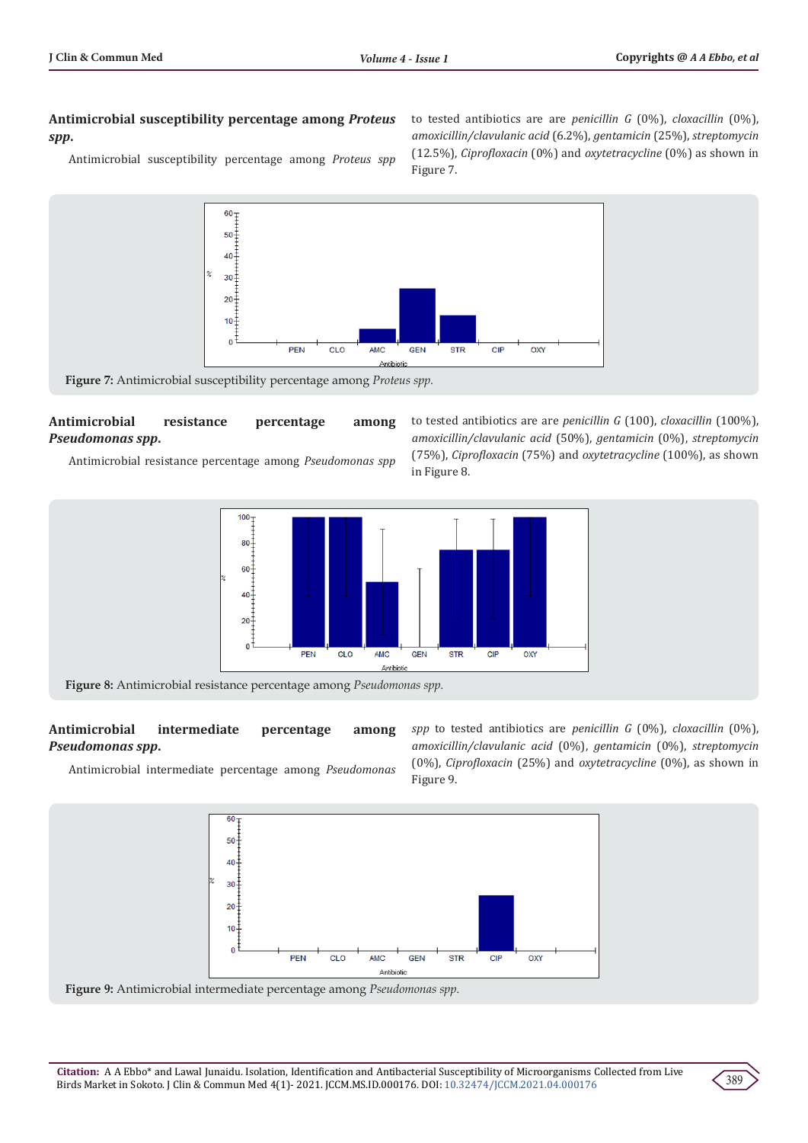#### **Antimicrobial susceptibility percentage among** *Proteus spp***.**

Antimicrobial susceptibility percentage among *Proteus spp* 

to tested antibiotics are are *penicillin G* (0%), *cloxacillin* (0%), *amoxicillin/clavulanic acid* (6.2%), *gentamicin* (25%), *streptomycin* (12.5%), *Ciprofloxacin* (0%) and *oxytetracycline* (0%) as shown in Figure 7.



# **Antimicrobial resistance percentage among**  *Pseudomonas spp***.**

Antimicrobial resistance percentage among *Pseudomonas spp* 





**Figure 8:** Antimicrobial resistance percentage among *Pseudomonas spp.*

# **Antimicrobial intermediate percentage among**  *Pseudomonas spp***.**

*spp* to tested antibiotics are *penicillin G* (0%), *cloxacillin* (0%), *amoxicillin/clavulanic acid* (0%), *gentamicin* (0%), *streptomycin* (0%), *Ciprofloxacin* (25%) and *oxytetracycline* (0%), as shown in Figure 9.

Antimicrobial intermediate percentage among *Pseudomonas* 





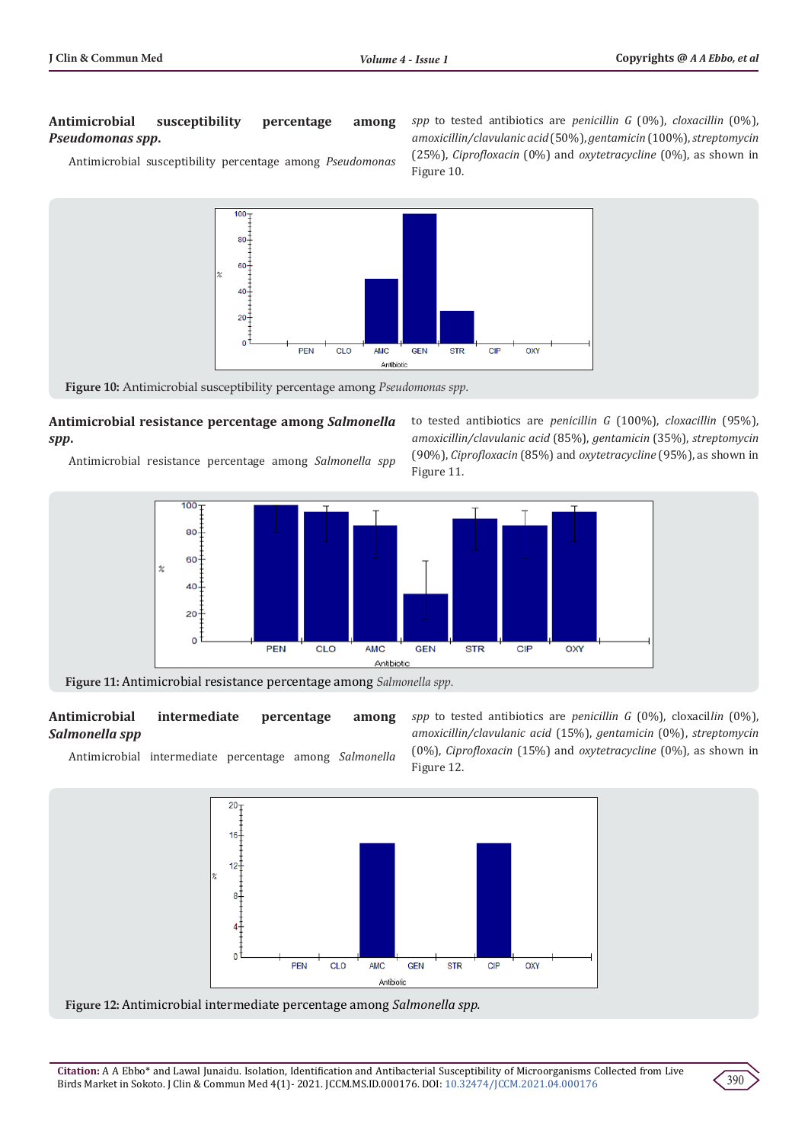#### **Antimicrobial susceptibility percentage among**  *Pseudomonas spp***.**

Antimicrobial susceptibility percentage among *Pseudomonas* 

*spp* to tested antibiotics are *penicillin G* (0%), *cloxacillin* (0%), *amoxicillin/clavulanic acid* (50%), *gentamicin* (100%), *streptomycin* (25%), *Ciprofloxacin* (0%) and *oxytetracycline* (0%), as shown in Figure 10.



**Figure 10:** Antimicrobial susceptibility percentage among *Pseudomonas spp.*

# **Antimicrobial resistance percentage among** *Salmonella spp***.**

Antimicrobial resistance percentage among *Salmonella spp*





**Figure 11:** Antimicrobial resistance percentage among *Salmonella spp.*

#### **Antimicrobial intermediate percentage among**  *Salmonella spp*

Antimicrobial intermediate percentage among *Salmonella* 

*spp* to tested antibiotics are *penicillin G* (0%), cloxacil*lin* (0%), *amoxicillin/clavulanic acid* (15%), *gentamicin* (0%), *streptomycin* (0%), *Ciprofloxacin* (15%) and *oxytetracycline* (0%), as shown in Figure 12.



**Figure 12:** Antimicrobial intermediate percentage among *Salmonella spp.*

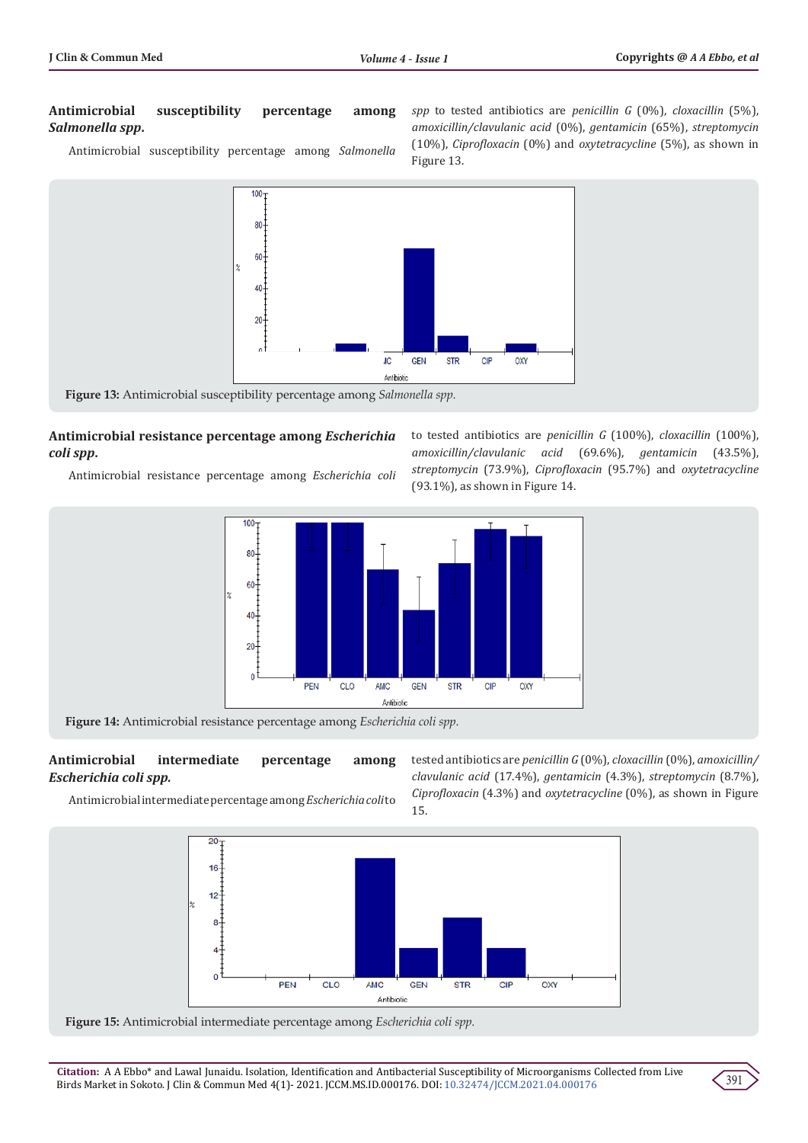# **Antimicrobial susceptibility percentage among**  *Salmonella spp***.**

Antimicrobial susceptibility percentage among *Salmonella* 

*spp* to tested antibiotics are *penicillin G* (0%), *cloxacillin* (5%), *amoxicillin/clavulanic acid* (0%), *gentamicin* (65%), *streptomycin*  (10%), *Ciprofloxacin* (0%) and *oxytetracycline* (5%), as shown in Figure 13.



# **Antimicrobial resistance percentage among** *Escherichia coli spp***.**

Antimicrobial resistance percentage among *Escherichia coli* 

to tested antibiotics are *penicillin G* (100%), *cloxacillin* (100%), *amoxicillin/clavulanic acid* (69.6%), *gentamicin* (43.5%), *streptomycin* (73.9%), *Ciprofloxacin* (95.7%) and *oxytetracycline*  (93.1%), as shown in Figure 14.



**Figure 14:** Antimicrobial resistance percentage among *Escherichia coli spp*.

# **Antimicrobial intermediate percentage among**  *Escherichia coli spp.*

tested antibiotics are *penicillin G* (0%), *cloxacillin* (0%), *amoxicillin/ clavulanic acid* (17.4%), *gentamicin* (4.3%), *streptomycin* (8.7%), *Ciprofloxacin* (4.3%) and *oxytetracycline* (0%), as shown in Figure 15.

Antimicrobial intermediate percentage among *Escherichia coli* to



**Figure 15:** Antimicrobial intermediate percentage among *Escherichia coli spp.*

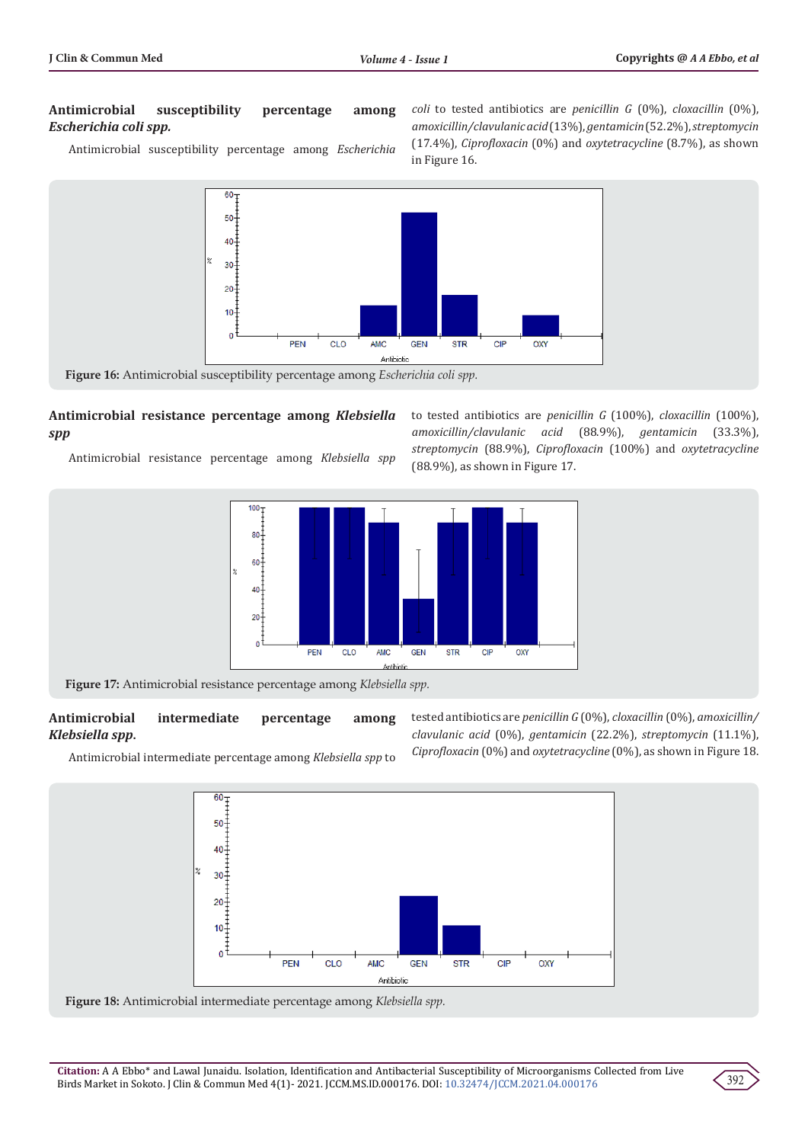#### **Antimicrobial susceptibility percentage among**  *Escherichia coli spp.*

Antimicrobial susceptibility percentage among *Escherichia* 

*coli* to tested antibiotics are *penicillin G* (0%), *cloxacillin* (0%), *amoxicillin/clavulanic acid* (13%), *gentamicin* (52.2%), *streptomycin* (17.4%), *Ciprofloxacin* (0%) and *oxytetracycline* (8.7%), as shown in Figure 16.



#### **Antimicrobial resistance percentage among** *Klebsiella spp*

Antimicrobial resistance percentage among *Klebsiella spp*



**Figure 17:** Antimicrobial resistance percentage among *Klebsiella spp.*

## **Antimicrobial intermediate percentage among**  *Klebsiella spp***.**

tested antibiotics are *penicillin G* (0%), *cloxacillin* (0%), *amoxicillin/ clavulanic acid* (0%), *gentamicin* (22.2%), *streptomycin* (11.1%), *Ciprofloxacin* (0%) and *oxytetracycline* (0%), as shown in Figure 18.





**Figure 18:** Antimicrobial intermediate percentage among *Klebsiella spp.*



to tested antibiotics are *penicillin G* (100%), *cloxacillin* (100%), *amoxicillin/clavulanic acid* (88.9%), *gentamicin* (33.3%), *streptomycin* (88.9%), *Ciprofloxacin* (100%) and *oxytetracycline* (88.9%), as shown in Figure 17.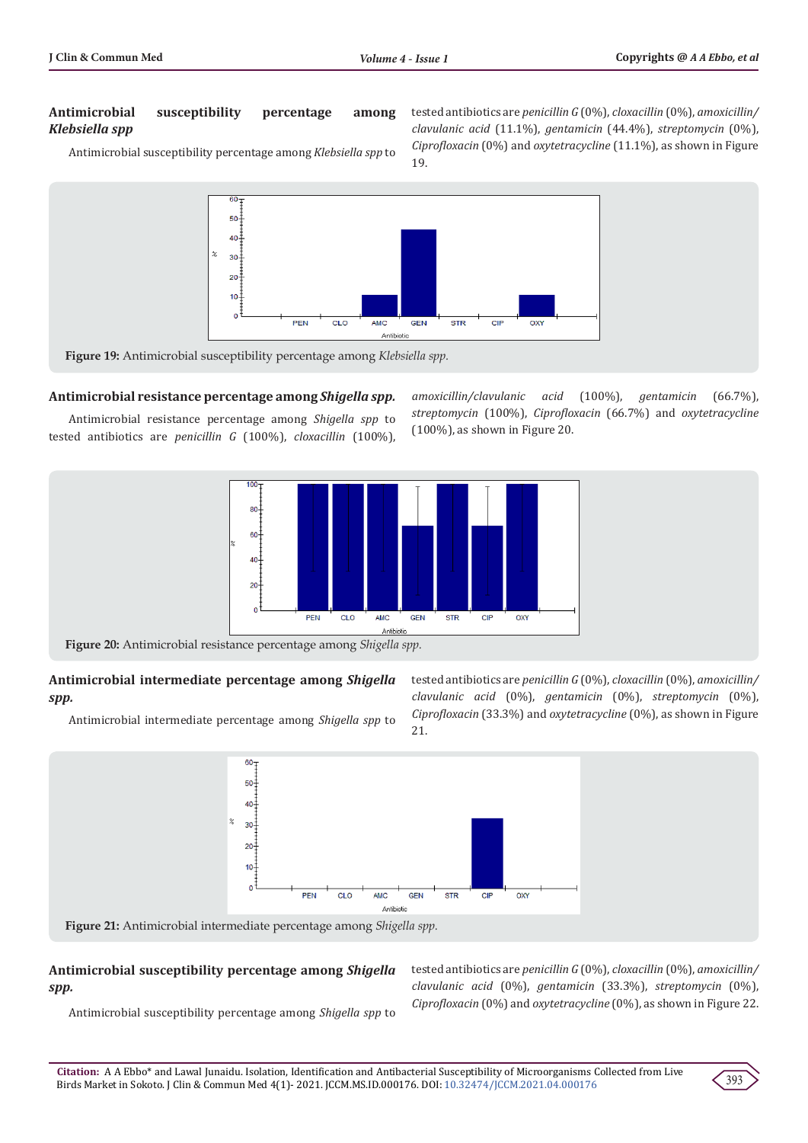# **Antimicrobial susceptibility percentage among**  *Klebsiella spp*

Antimicrobial susceptibility percentage among *Klebsiella spp* to

tested antibiotics are *penicillin G* (0%), *cloxacillin* (0%), *amoxicillin/ clavulanic acid* (11.1%), *gentamicin* (44.4%), *streptomycin* (0%), *Ciprofloxacin* (0%) and *oxytetracycline* (11.1%), as shown in Figure 19.



**Figure 19:** Antimicrobial susceptibility percentage among *Klebsiella spp.*

#### **Antimicrobial resistance percentage among** *Shigella spp.*

Antimicrobial resistance percentage among *Shigella spp* to tested antibiotics are *penicillin G* (100%), *cloxacillin* (100%), *amoxicillin/clavulanic acid* (100%), *gentamicin* (66.7%), *streptomycin* (100%), *Ciprofloxacin* (66.7%) and *oxytetracycline* (100%), as shown in Figure 20.



**Figure 20:** Antimicrobial resistance percentage among *Shigella spp.*

#### **Antimicrobial intermediate percentage among** *Shigella spp.*

Antimicrobial intermediate percentage among *Shigella spp* to

tested antibiotics are *penicillin G* (0%), *cloxacillin* (0%), *amoxicillin/ clavulanic acid* (0%), *gentamicin* (0%), *streptomycin* (0%), *Ciprofloxacin* (33.3%) and *oxytetracycline* (0%), as shown in Figure 21.



#### **Antimicrobial susceptibility percentage among** *Shigella spp.*

Antimicrobial susceptibility percentage among *Shigella spp* to

tested antibiotics are *penicillin G* (0%), *cloxacillin* (0%), *amoxicillin/ clavulanic acid* (0%), *gentamicin* (33.3%), *streptomycin* (0%), *Ciprofloxacin* (0%) and *oxytetracycline* (0%), as shown in Figure 22.

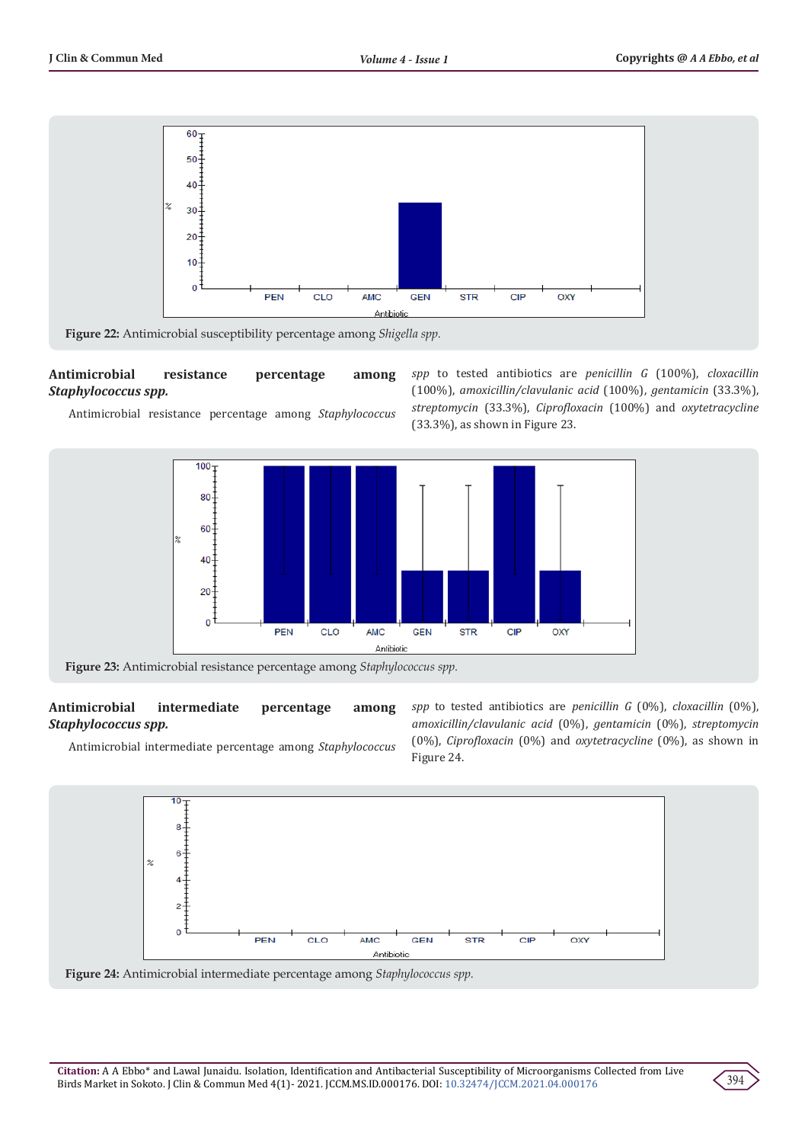

# **Antimicrobial resistance percentage among**  *Staphylococcus spp.*

Antimicrobial resistance percentage among *Staphylococcus* 

*spp* to tested antibiotics are *penicillin G* (100%), *cloxacillin* (100%), *amoxicillin/clavulanic acid* (100%), *gentamicin* (33.3%), *streptomycin* (33.3%), *Ciprofloxacin* (100%) and *oxytetracycline*  (33.3%), as shown in Figure 23.



**Figure 23:** Antimicrobial resistance percentage among *Staphylococcus spp.*

# **Antimicrobial intermediate percentage among**  *Staphylococcus spp.*

Antimicrobial intermediate percentage among *Staphylococcus* 

*spp* to tested antibiotics are *penicillin G* (0%), *cloxacillin* (0%), *amoxicillin/clavulanic acid* (0%), *gentamicin* (0%), *streptomycin* (0%), *Ciprofloxacin* (0%) and *oxytetracycline* (0%), as shown in Figure 24.



**Figure 24:** Antimicrobial intermediate percentage among *Staphylococcus spp.*

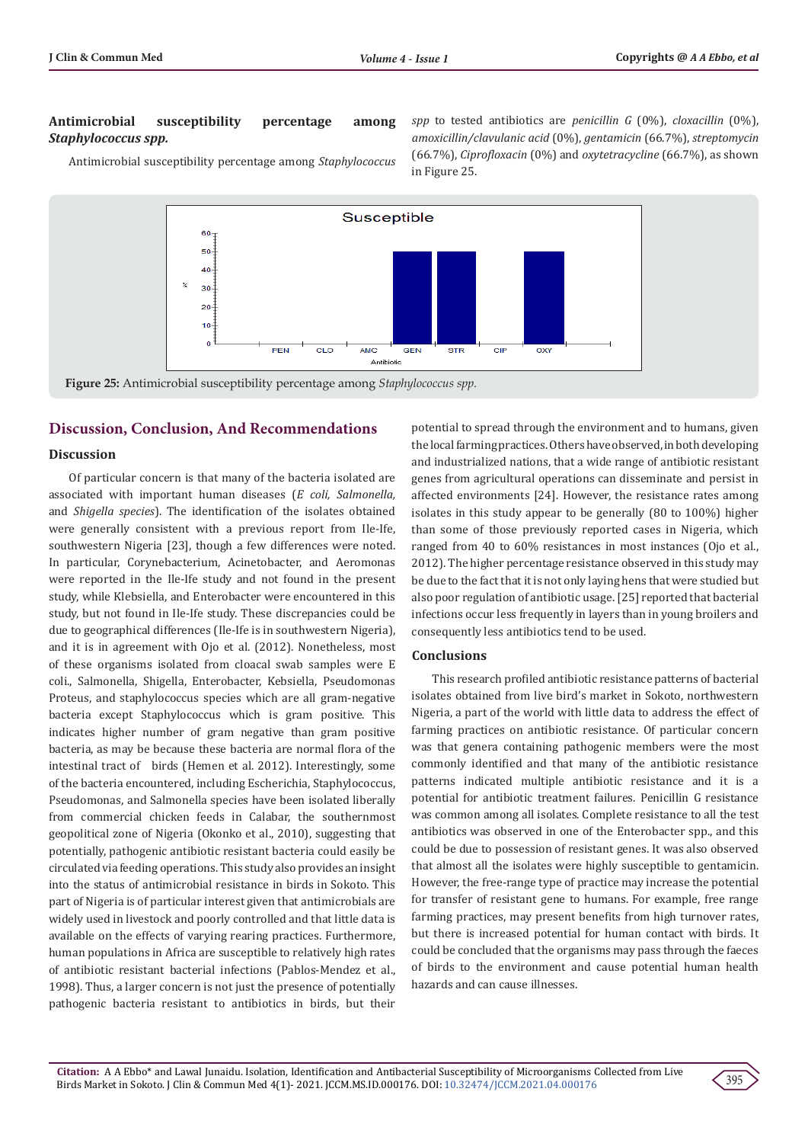#### **Antimicrobial susceptibility percentage among**  *Staphylococcus spp.*

Antimicrobial susceptibility percentage among *Staphylococcus* 

*spp* to tested antibiotics are *penicillin G* (0%), *cloxacillin* (0%), *amoxicillin/clavulanic acid* (0%), *gentamicin* (66.7%), *streptomycin* (66.7%), *Ciprofloxacin* (0%) and *oxytetracycline* (66.7%), as shown in Figure 25.



# **Discussion, Conclusion, And Recommendations**

#### **Discussion**

Of particular concern is that many of the bacteria isolated are associated with important human diseases (*E coli, Salmonella,*  and *Shigella species*). The identification of the isolates obtained were generally consistent with a previous report from Ile-Ife, southwestern Nigeria [23], though a few differences were noted. In particular, Corynebacterium, Acinetobacter, and Aeromonas were reported in the Ile-Ife study and not found in the present study, while Klebsiella, and Enterobacter were encountered in this study, but not found in Ile-Ife study. These discrepancies could be due to geographical differences (Ile-Ife is in southwestern Nigeria), and it is in agreement with Ojo et al. (2012). Nonetheless, most of these organisms isolated from cloacal swab samples were E coli., Salmonella, Shigella, Enterobacter, Kebsiella, Pseudomonas Proteus, and staphylococcus species which are all gram-negative bacteria except Staphylococcus which is gram positive. This indicates higher number of gram negative than gram positive bacteria, as may be because these bacteria are normal flora of the intestinal tract of birds (Hemen et al. 2012). Interestingly, some of the bacteria encountered, including Escherichia, Staphylococcus, Pseudomonas, and Salmonella species have been isolated liberally from commercial chicken feeds in Calabar, the southernmost geopolitical zone of Nigeria (Okonko et al., 2010), suggesting that potentially, pathogenic antibiotic resistant bacteria could easily be circulated via feeding operations. This study also provides an insight into the status of antimicrobial resistance in birds in Sokoto. This part of Nigeria is of particular interest given that antimicrobials are widely used in livestock and poorly controlled and that little data is available on the effects of varying rearing practices. Furthermore, human populations in Africa are susceptible to relatively high rates of antibiotic resistant bacterial infections (Pablos-Mendez et al., 1998). Thus, a larger concern is not just the presence of potentially pathogenic bacteria resistant to antibiotics in birds, but their

potential to spread through the environment and to humans, given the local farming practices. Others have observed, in both developing and industrialized nations, that a wide range of antibiotic resistant genes from agricultural operations can disseminate and persist in affected environments [24]. However, the resistance rates among isolates in this study appear to be generally (80 to 100%) higher than some of those previously reported cases in Nigeria, which ranged from 40 to 60% resistances in most instances (Ojo et al., 2012). The higher percentage resistance observed in this study may be due to the fact that it is not only laying hens that were studied but also poor regulation of antibiotic usage. [25] reported that bacterial infections occur less frequently in layers than in young broilers and consequently less antibiotics tend to be used.

#### **Conclusions**

This research profiled antibiotic resistance patterns of bacterial isolates obtained from live bird's market in Sokoto, northwestern Nigeria, a part of the world with little data to address the effect of farming practices on antibiotic resistance. Of particular concern was that genera containing pathogenic members were the most commonly identified and that many of the antibiotic resistance patterns indicated multiple antibiotic resistance and it is a potential for antibiotic treatment failures. Penicillin G resistance was common among all isolates. Complete resistance to all the test antibiotics was observed in one of the Enterobacter spp., and this could be due to possession of resistant genes. It was also observed that almost all the isolates were highly susceptible to gentamicin. However, the free-range type of practice may increase the potential for transfer of resistant gene to humans. For example, free range farming practices, may present benefits from high turnover rates, but there is increased potential for human contact with birds. It could be concluded that the organisms may pass through the faeces of birds to the environment and cause potential human health hazards and can cause illnesses.